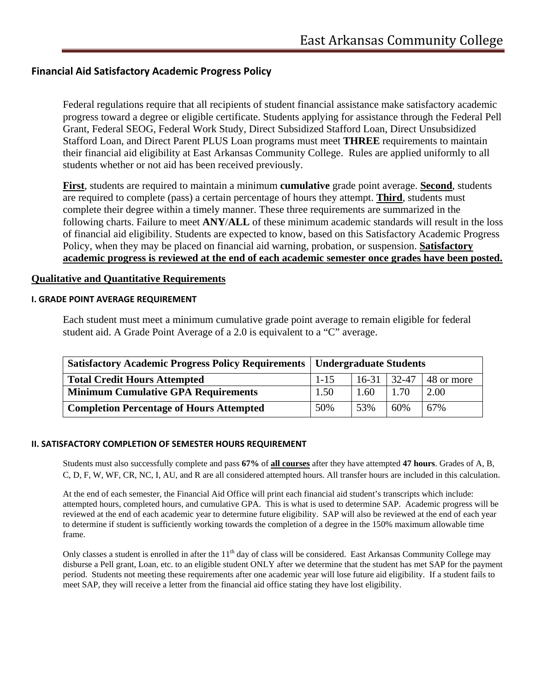# **Financial Aid Satisfactory Academic Progress Policy**

Federal regulations require that all recipients of student financial assistance make satisfactory academic progress toward a degree or eligible certificate. Students applying for assistance through the Federal Pell Grant, Federal SEOG, Federal Work Study, Direct Subsidized Stafford Loan, Direct Unsubsidized Stafford Loan, and Direct Parent PLUS Loan programs must meet **THREE** requirements to maintain their financial aid eligibility at East Arkansas Community College. Rules are applied uniformly to all students whether or not aid has been received previously.

**First**, students are required to maintain a minimum **cumulative** grade point average. **Second**, students are required to complete (pass) a certain percentage of hours they attempt. **Third**, students must complete their degree within a timely manner. These three requirements are summarized in the following charts. Failure to meet **ANY**/**ALL** of these minimum academic standards will result in the loss of financial aid eligibility. Students are expected to know, based on this Satisfactory Academic Progress Policy, when they may be placed on financial aid warning, probation, or suspension. **Satisfactory academic progress is reviewed at the end of each academic semester once grades have been posted.**

## **Qualitative and Quantitative Requirements**

## **I. GRADE POINT AVERAGE REQUIREMENT**

Each student must meet a minimum cumulative grade point average to remain eligible for federal student aid. A Grade Point Average of a 2.0 is equivalent to a "C" average.

| <b>Satisfactory Academic Progress Policy Requirements   Undergraduate Students</b> |          |               |      |            |
|------------------------------------------------------------------------------------|----------|---------------|------|------------|
| <b>Total Credit Hours Attempted</b>                                                | $1 - 15$ | $16-31$ 32-47 |      | 48 or more |
| <b>Minimum Cumulative GPA Requirements</b>                                         | 1.50     | 1.60          | 1.70 | 2.00       |
| <b>Completion Percentage of Hours Attempted</b>                                    | 50%      | 53%           | 60%  | 67%        |

## **II. SATISFACTORY COMPLETION OF SEMESTER HOURS REQUIREMENT**

Students must also successfully complete and pass **67%** of **all courses** after they have attempted **47 hours**. Grades of A, B, C, D, F, W, WF, CR, NC, I, AU, and R are all considered attempted hours. All transfer hours are included in this calculation.

At the end of each semester, the Financial Aid Office will print each financial aid student's transcripts which include: attempted hours, completed hours, and cumulative GPA. This is what is used to determine SAP. Academic progress will be reviewed at the end of each academic year to determine future eligibility. SAP will also be reviewed at the end of each year to determine if student is sufficiently working towards the completion of a degree in the 150% maximum allowable time frame.

Only classes a student is enrolled in after the  $11<sup>th</sup>$  day of class will be considered. East Arkansas Community College may disburse a Pell grant, Loan, etc. to an eligible student ONLY after we determine that the student has met SAP for the payment period. Students not meeting these requirements after one academic year will lose future aid eligibility. If a student fails to meet SAP, they will receive a letter from the financial aid office stating they have lost eligibility.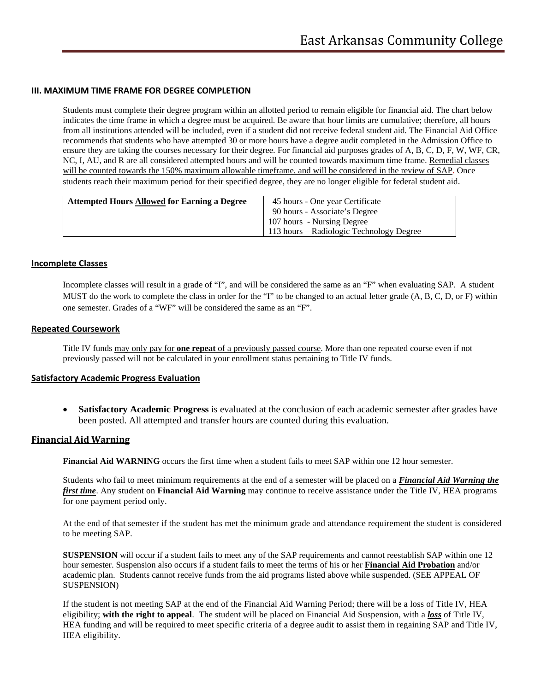### **III. MAXIMUM TIME FRAME FOR DEGREE COMPLETION**

Students must complete their degree program within an allotted period to remain eligible for financial aid. The chart below indicates the time frame in which a degree must be acquired. Be aware that hour limits are cumulative; therefore, all hours from all institutions attended will be included, even if a student did not receive federal student aid. The Financial Aid Office recommends that students who have attempted 30 or more hours have a degree audit completed in the Admission Office to ensure they are taking the courses necessary for their degree. For financial aid purposes grades of A, B, C, D, F, W, WF, CR, NC, I, AU, and R are all considered attempted hours and will be counted towards maximum time frame. Remedial classes will be counted towards the 150% maximum allowable timeframe, and will be considered in the review of SAP. Once students reach their maximum period for their specified degree, they are no longer eligible for federal student aid.

| <b>Attempted Hours Allowed for Earning a Degree</b> | 45 hours - One year Certificate          |
|-----------------------------------------------------|------------------------------------------|
|                                                     | 90 hours - Associate's Degree            |
|                                                     | 107 hours - Nursing Degree               |
|                                                     | 113 hours – Radiologic Technology Degree |

#### **Incomplete Classes**

Incomplete classes will result in a grade of "I", and will be considered the same as an "F" when evaluating SAP. A student MUST do the work to complete the class in order for the "I" to be changed to an actual letter grade (A, B, C, D, or F) within one semester. Grades of a "WF" will be considered the same as an "F".

### **Repeated Coursework**

Title IV funds may only pay for **one repeat** of a previously passed course. More than one repeated course even if not previously passed will not be calculated in your enrollment status pertaining to Title IV funds.

#### **Satisfactory Academic Progress Evaluation**

• **Satisfactory Academic Progress** is evaluated at the conclusion of each academic semester after grades have been posted. All attempted and transfer hours are counted during this evaluation.

### **Financial Aid Warning**

**Financial Aid WARNING** occurs the first time when a student fails to meet SAP within one 12 hour semester.

Students who fail to meet minimum requirements at the end of a semester will be placed on a *Financial Aid Warning the first time*. Any student on **Financial Aid Warning** may continue to receive assistance under the Title IV, HEA programs for one payment period only.

At the end of that semester if the student has met the minimum grade and attendance requirement the student is considered to be meeting SAP.

**SUSPENSION** will occur if a student fails to meet any of the SAP requirements and cannot reestablish SAP within one 12 hour semester. Suspension also occurs if a student fails to meet the terms of his or her **Financial Aid Probation** and/or academic plan. Students cannot receive funds from the aid programs listed above while suspended. (SEE APPEAL OF SUSPENSION)

If the student is not meeting SAP at the end of the Financial Aid Warning Period; there will be a loss of Title IV, HEA eligibility; **with the right to appeal**. The student will be placed on Financial Aid Suspension, with a *loss* of Title IV, HEA funding and will be required to meet specific criteria of a degree audit to assist them in regaining SAP and Title IV, HEA eligibility.